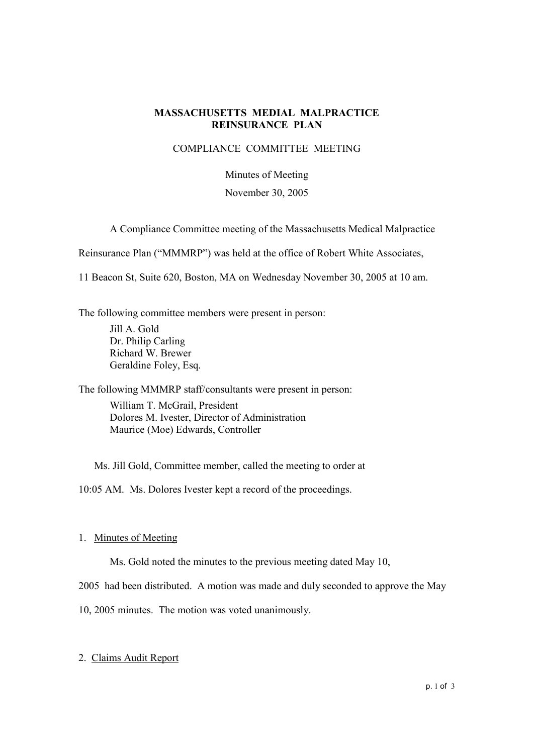# **MASSACHUSETTS MEDIAL MALPRACTICE REINSURANCE PLAN**

## COMPLIANCE COMMITTEE MEETING

## Minutes of Meeting

#### November 30, 2005

A Compliance Committee meeting of the Massachusetts Medical Malpractice

Reinsurance Plan ("MMMRP") was held at the office of Robert White Associates,

11 Beacon St, Suite 620, Boston, MA on Wednesday November 30, 2005 at 10 am.

The following committee members were present in person:

Jill A. Gold Dr. Philip Carling Richard W. Brewer Geraldine Foley, Esq.

The following MMMRP staff/consultants were present in person:

William T. McGrail, President Dolores M. Ivester, Director of Administration Maurice (Moe) Edwards, Controller

Ms. Jill Gold, Committee member, called the meeting to order at

10:05 AM. Ms. Dolores Ivester kept a record of the proceedings.

# 1. Minutes of Meeting

Ms. Gold noted the minutes to the previous meeting dated May 10,

2005 had been distributed. A motion was made and duly seconded to approve the May

10, 2005 minutes. The motion was voted unanimously.

# 2. Claims Audit Report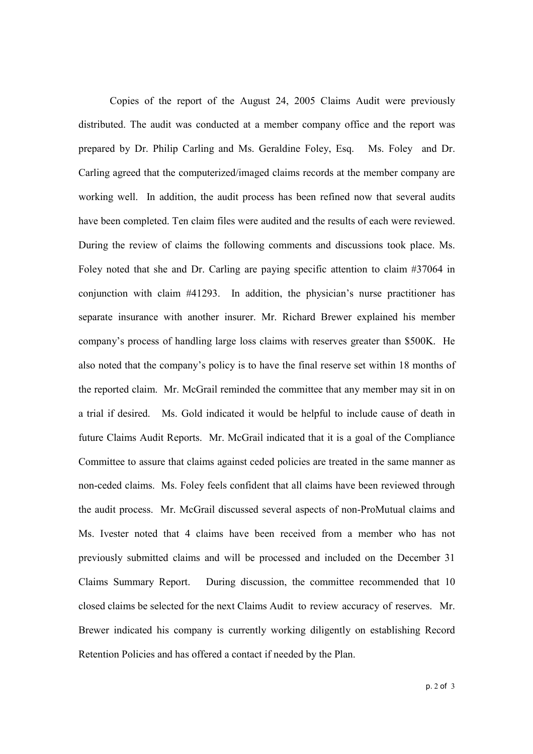Copies of the report of the August 24, 2005 Claims Audit were previously distributed. The audit was conducted at a member company office and the report was prepared by Dr. Philip Carling and Ms. Geraldine Foley, Esq. Ms. Foley and Dr. Carling agreed that the computerized/imaged claims records at the member company are working well. In addition, the audit process has been refined now that several audits have been completed. Ten claim files were audited and the results of each were reviewed. During the review of claims the following comments and discussions took place. Ms. Foley noted that she and Dr. Carling are paying specific attention to claim #37064 in conjunction with claim  $#41293$ . In addition, the physician's nurse practitioner has separate insurance with another insurer. Mr. Richard Brewer explained his member companyís process of handling large loss claims with reserves greater than \$500K. He also noted that the company's policy is to have the final reserve set within 18 months of the reported claim. Mr. McGrail reminded the committee that any member may sit in on a trial if desired. Ms. Gold indicated it would be helpful to include cause of death in future Claims Audit Reports. Mr. McGrail indicated that it is a goal of the Compliance Committee to assure that claims against ceded policies are treated in the same manner as non-ceded claims. Ms. Foley feels confident that all claims have been reviewed through the audit process. Mr. McGrail discussed several aspects of non-ProMutual claims and Ms. Ivester noted that 4 claims have been received from a member who has not previously submitted claims and will be processed and included on the December 31 Claims Summary Report. During discussion, the committee recommended that 10 closed claims be selected for the next Claims Audit to review accuracy of reserves. Mr. Brewer indicated his company is currently working diligently on establishing Record Retention Policies and has offered a contact if needed by the Plan.